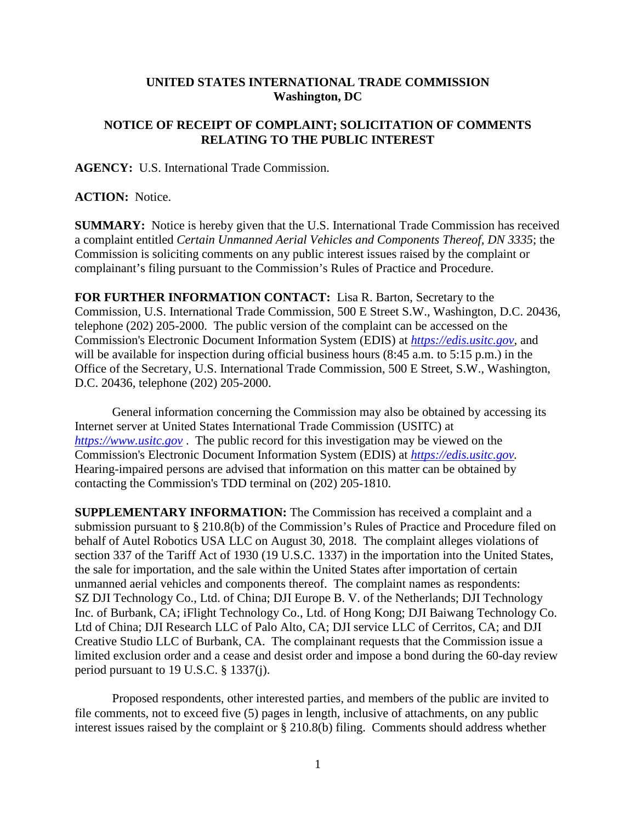## **UNITED STATES INTERNATIONAL TRADE COMMISSION Washington, DC**

## **NOTICE OF RECEIPT OF COMPLAINT; SOLICITATION OF COMMENTS RELATING TO THE PUBLIC INTEREST**

**AGENCY:** U.S. International Trade Commission.

## **ACTION:** Notice.

**SUMMARY:** Notice is hereby given that the U.S. International Trade Commission has received a complaint entitled *Certain Unmanned Aerial Vehicles and Components Thereof, DN 3335*; the Commission is soliciting comments on any public interest issues raised by the complaint or complainant's filing pursuant to the Commission's Rules of Practice and Procedure.

**FOR FURTHER INFORMATION CONTACT:** Lisa R. Barton, Secretary to the Commission, U.S. International Trade Commission, 500 E Street S.W., Washington, D.C. 20436, telephone (202) 205-2000. The public version of the complaint can be accessed on the Commission's Electronic Document Information System (EDIS) at *[https://edis.usitc.gov](https://edis.usitc.gov/)*, and will be available for inspection during official business hours (8:45 a.m. to 5:15 p.m.) in the Office of the Secretary, U.S. International Trade Commission, 500 E Street, S.W., Washington, D.C. 20436, telephone (202) 205-2000.

General information concerning the Commission may also be obtained by accessing its Internet server at United States International Trade Commission (USITC) at *[https://www.usitc.gov](https://www.usitc.gov/)* . The public record for this investigation may be viewed on the Commission's Electronic Document Information System (EDIS) at *[https://edis.usitc.gov.](https://edis.usitc.gov/)* Hearing-impaired persons are advised that information on this matter can be obtained by contacting the Commission's TDD terminal on (202) 205-1810.

**SUPPLEMENTARY INFORMATION:** The Commission has received a complaint and a submission pursuant to § 210.8(b) of the Commission's Rules of Practice and Procedure filed on behalf of Autel Robotics USA LLC on August 30, 2018. The complaint alleges violations of section 337 of the Tariff Act of 1930 (19 U.S.C. 1337) in the importation into the United States, the sale for importation, and the sale within the United States after importation of certain unmanned aerial vehicles and components thereof. The complaint names as respondents: SZ DJI Technology Co., Ltd. of China; DJI Europe B. V. of the Netherlands; DJI Technology Inc. of Burbank, CA; iFlight Technology Co., Ltd. of Hong Kong; DJI Baiwang Technology Co. Ltd of China; DJI Research LLC of Palo Alto, CA; DJI service LLC of Cerritos, CA; and DJI Creative Studio LLC of Burbank, CA. The complainant requests that the Commission issue a limited exclusion order and a cease and desist order and impose a bond during the 60-day review period pursuant to 19 U.S.C. § 1337(j).

Proposed respondents, other interested parties, and members of the public are invited to file comments, not to exceed five (5) pages in length, inclusive of attachments, on any public interest issues raised by the complaint or § 210.8(b) filing. Comments should address whether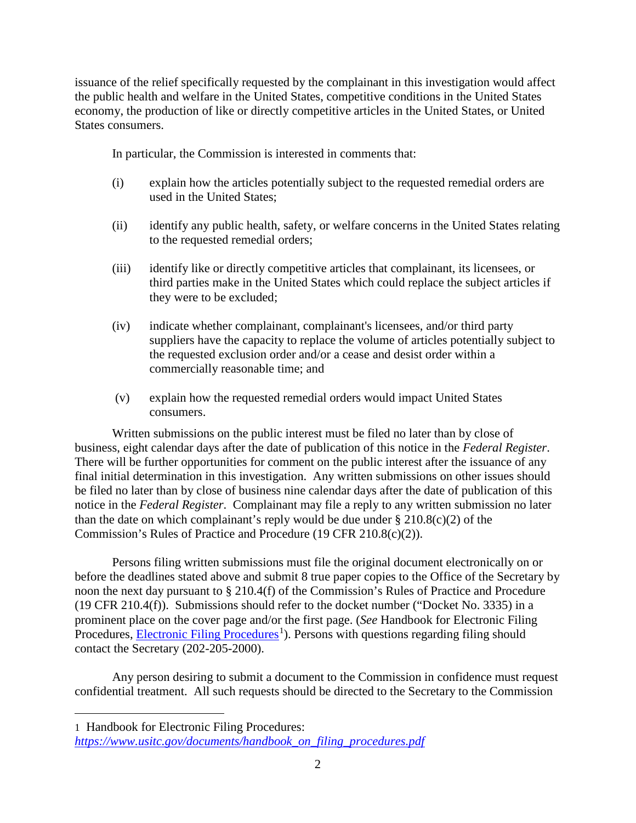issuance of the relief specifically requested by the complainant in this investigation would affect the public health and welfare in the United States, competitive conditions in the United States economy, the production of like or directly competitive articles in the United States, or United States consumers.

In particular, the Commission is interested in comments that:

- (i) explain how the articles potentially subject to the requested remedial orders are used in the United States;
- (ii) identify any public health, safety, or welfare concerns in the United States relating to the requested remedial orders;
- (iii) identify like or directly competitive articles that complainant, its licensees, or third parties make in the United States which could replace the subject articles if they were to be excluded;
- (iv) indicate whether complainant, complainant's licensees, and/or third party suppliers have the capacity to replace the volume of articles potentially subject to the requested exclusion order and/or a cease and desist order within a commercially reasonable time; and
- (v) explain how the requested remedial orders would impact United States consumers.

Written submissions on the public interest must be filed no later than by close of business, eight calendar days after the date of publication of this notice in the *Federal Register*. There will be further opportunities for comment on the public interest after the issuance of any final initial determination in this investigation. Any written submissions on other issues should be filed no later than by close of business nine calendar days after the date of publication of this notice in the *Federal Register*. Complainant may file a reply to any written submission no later than the date on which complainant's reply would be due under  $\S 210.8(c)(2)$  of the Commission's Rules of Practice and Procedure (19 CFR 210.8(c)(2)).

Persons filing written submissions must file the original document electronically on or before the deadlines stated above and submit 8 true paper copies to the Office of the Secretary by noon the next day pursuant to § 210.4(f) of the Commission's Rules of Practice and Procedure (19 CFR 210.4(f)). Submissions should refer to the docket number ("Docket No. 3335) in a prominent place on the cover page and/or the first page. (*See* Handbook for Electronic Filing Procedures, **Electronic Filing Procedures**<sup>[1](#page-1-0)</sup>). Persons with questions regarding filing should contact the Secretary (202-205-2000).

Any person desiring to submit a document to the Commission in confidence must request confidential treatment. All such requests should be directed to the Secretary to the Commission

<span id="page-1-0"></span>1 Handbook for Electronic Filing Procedures:

 $\overline{a}$ 

*[https://www.usitc.gov/documents/handbook\\_on\\_filing\\_procedures.pdf](https://www.usitc.gov/documents/handbook_on_filing_procedures.pdf)*